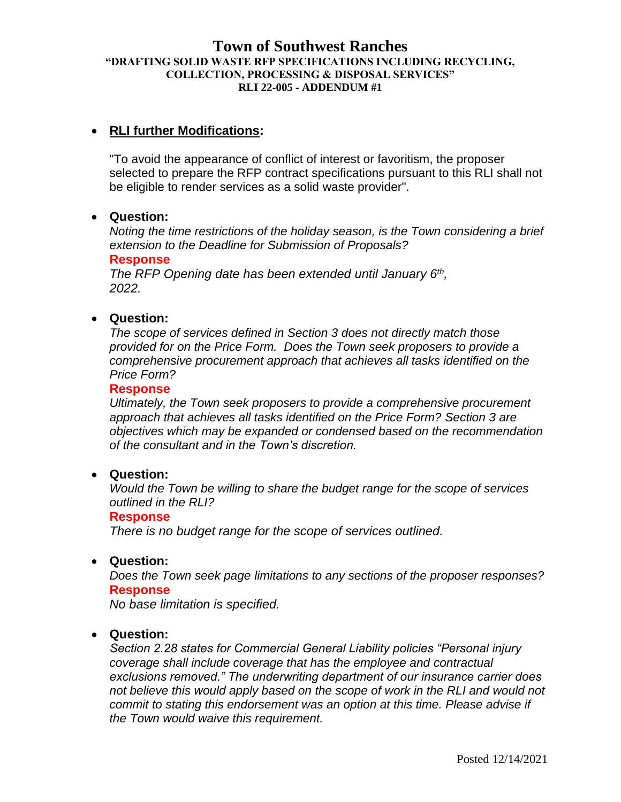## **Town of Southwest Ranches "DRAFTING SOLID WASTE RFP SPECIFICATIONS INCLUDING RECYCLING, COLLECTION, PROCESSING & DISPOSAL SERVICES" RLI 22-005 - ADDENDUM #1**

# • **RLI further Modifications:**

"To avoid the appearance of conflict of interest or favoritism, the proposer selected to prepare the RFP contract specifications pursuant to this RLI shall not be eligible to render services as a solid waste provider".

## • **Question:**

*Noting the time restrictions of the holiday season, is the Town considering a brief extension to the Deadline for Submission of Proposals?*

#### **Response**

*The RFP Opening date has been extended until January 6th , 2022.*

#### • **Question:**

*The scope of services defined in Section 3 does not directly match those provided for on the Price Form. Does the Town seek proposers to provide a comprehensive procurement approach that achieves all tasks identified on the Price Form?*

#### **Response**

*Ultimately, the Town seek proposers to provide a comprehensive procurement approach that achieves all tasks identified on the Price Form? Section 3 are objectives which may be expanded or condensed based on the recommendation of the consultant and in the Town's discretion.*

#### • **Question:**

*Would the Town be willing to share the budget range for the scope of services outlined in the RLI?*

#### **Response**

*There is no budget range for the scope of services outlined.*

#### • **Question:**

*Does the Town seek page limitations to any sections of the proposer responses?* **Response**

*No base limitation is specified.*

#### • **Question:**

*Section 2.28 states for Commercial General Liability policies "Personal injury coverage shall include coverage that has the employee and contractual exclusions removed." The underwriting department of our insurance carrier does not believe this would apply based on the scope of work in the RLI and would not commit to stating this endorsement was an option at this time. Please advise if the Town would waive this requirement.*